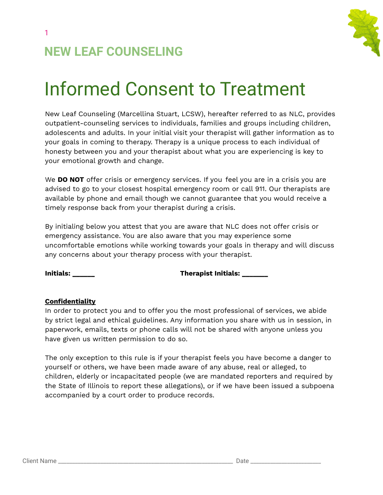

# **NEW LEAF COUNSELING**

# Informed Consent to Treatment

New Leaf Counseling (Marcellina Stuart, LCSW), hereafter referred to as NLC, provides outpatient-counseling services to individuals, families and groups including children, adolescents and adults. In your initial visit your therapist will gather information as to your goals in coming to therapy. Therapy is a unique process to each individual of honesty between you and your therapist about what you are experiencing is key to your emotional growth and change.

We **DO NOT** offer crisis or emergency services. If you feel you are in a crisis you are advised to go to your closest hospital emergency room or call 911. Our therapists are available by phone and email though we cannot guarantee that you would receive a timely response back from your therapist during a crisis.

By initialing below you attest that you are aware that NLC does not offer crisis or emergency assistance. You are also aware that you may experience some uncomfortable emotions while working towards your goals in therapy and will discuss any concerns about your therapy process with your therapist.

**Initials: \_\_\_\_\_\_ Therapist Initials: \_\_\_\_\_\_\_**

#### **Confidentiality**

In order to protect you and to offer you the most professional of services, we abide by strict legal and ethical guidelines. Any information you share with us in session, in paperwork, emails, texts or phone calls will not be shared with anyone unless you have given us written permission to do so.

The only exception to this rule is if your therapist feels you have become a danger to yourself or others, we have been made aware of any abuse, real or alleged, to children, elderly or incapacitated people (we are mandated reporters and required by the State of Illinois to report these allegations), or if we have been issued a subpoena accompanied by a court order to produce records.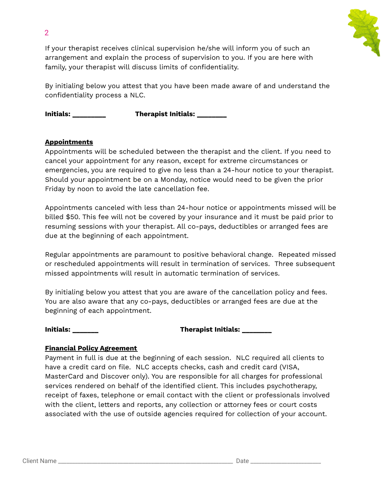

If your therapist receives clinical supervision he/she will inform you of such an arrangement and explain the process of supervision to you. If you are here with family, your therapist will discuss limits of confidentiality.

By initialing below you attest that you have been made aware of and understand the confidentiality process a NLC.

**Initials: \_\_\_\_\_\_\_\_\_ Therapist Initials: \_\_\_\_\_\_\_\_**

### **Appointments**

2

Appointments will be scheduled between the therapist and the client. If you need to cancel your appointment for any reason, except for extreme circumstances or emergencies, you are required to give no less than a 24-hour notice to your therapist. Should your appointment be on a Monday, notice would need to be given the prior Friday by noon to avoid the late cancellation fee.

Appointments canceled with less than 24-hour notice or appointments missed will be billed \$50. This fee will not be covered by your insurance and it must be paid prior to resuming sessions with your therapist. All co-pays, deductibles or arranged fees are due at the beginning of each appointment.

Regular appointments are paramount to positive behavioral change. Repeated missed or rescheduled appointments will result in termination of services. Three subsequent missed appointments will result in automatic termination of services.

By initialing below you attest that you are aware of the cancellation policy and fees. You are also aware that any co-pays, deductibles or arranged fees are due at the beginning of each appointment.

#### **Initials: \_\_\_\_\_\_\_ Therapist Initials: \_\_\_\_\_\_\_\_**

#### **Financial Policy Agreement**

Payment in full is due at the beginning of each session. NLC required all clients to have a credit card on file. NLC accepts checks, cash and credit card (VISA, MasterCard and Discover only). You are responsible for all charges for professional services rendered on behalf of the identified client. This includes psychotherapy, receipt of faxes, telephone or email contact with the client or professionals involved with the client, letters and reports, any collection or attorney fees or court costs associated with the use of outside agencies required for collection of your account.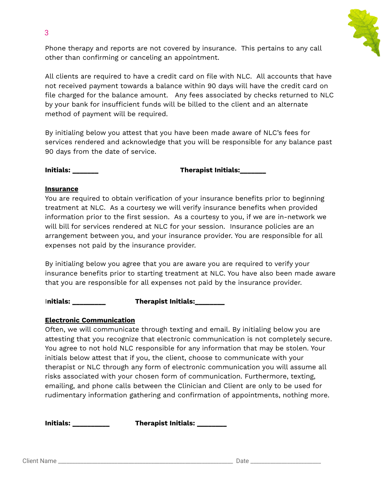Phone therapy and reports are not covered by insurance. This pertains to any call other than confirming or canceling an appointment.

All clients are required to have a credit card on file with NLC. All accounts that have not received payment towards a balance within 90 days will have the credit card on file charged for the balance amount. Any fees associated by checks returned to NLC by your bank for insufficient funds will be billed to the client and an alternate method of payment will be required.

By initialing below you attest that you have been made aware of NLC's fees for services rendered and acknowledge that you will be responsible for any balance past 90 days from the date of service.

**Initials: \_\_\_\_\_\_\_ Therapist Initials:\_\_\_\_\_\_\_**

#### **Insurance**

You are required to obtain verification of your insurance benefits prior to beginning treatment at NLC. As a courtesy we will verify insurance benefits when provided information prior to the first session. As a courtesy to you, if we are in-network we will bill for services rendered at NLC for your session. Insurance policies are an arrangement between you, and your insurance provider. You are responsible for all expenses not paid by the insurance provider.

By initialing below you agree that you are aware you are required to verify your insurance benefits prior to starting treatment at NLC. You have also been made aware that you are responsible for all expenses not paid by the insurance provider.

I**nitials: \_\_\_\_\_\_\_\_\_ Therapist Initials:\_\_\_\_\_\_\_\_**

## **Electronic Communication**

Often, we will communicate through texting and email. By initialing below you are attesting that you recognize that electronic communication is not completely secure. You agree to not hold NLC responsible for any information that may be stolen. Your initials below attest that if you, the client, choose to communicate with your therapist or NLC through any form of electronic communication you will assume all risks associated with your chosen form of communication. Furthermore, texting, emailing, and phone calls between the Clinician and Client are only to be used for rudimentary information gathering and confirmation of appointments, nothing more.

**Initials: \_\_\_\_\_\_\_\_\_\_ Therapist Initials: \_\_\_\_\_\_\_\_**